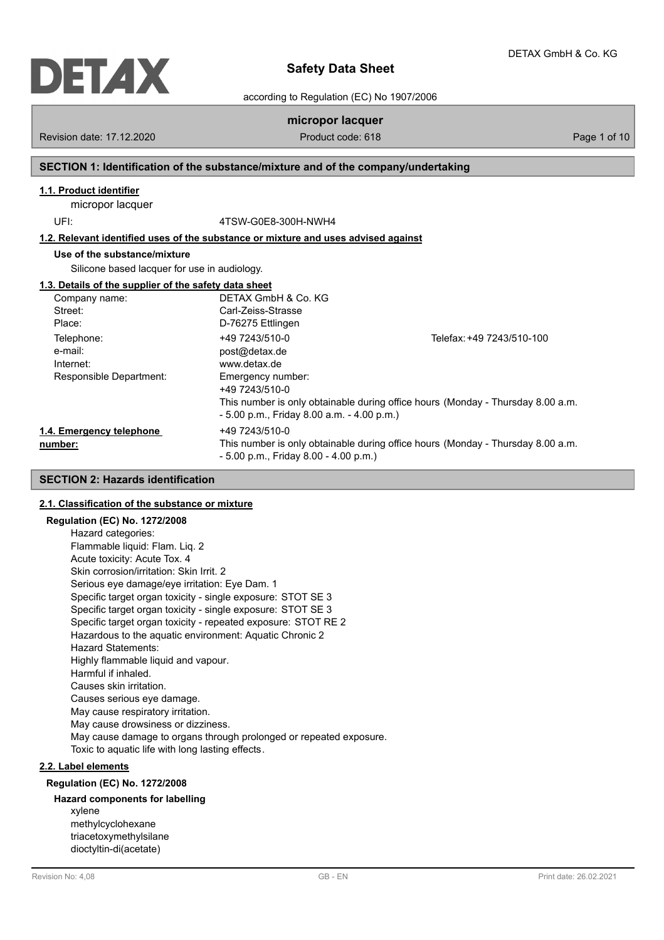

according to Regulation (EC) No 1907/2006

# **micropor lacquer**

Revision date: 17.12.2020 **Product code: 618** Page 1 of 10

# **SECTION 1: Identification of the substance/mixture and of the company/undertaking**

# **1.1. Product identifier**

micropor lacquer

UFI: 4TSW-G0E8-300H-NWH4

**1.2. Relevant identified uses of the substance or mixture and uses advised against**

# **Use of the substance/mixture**

Silicone based lacquer for use in audiology.

#### **1.3. Details of the supplier of the safety data sheet**

| Company name:            | DETAX GmbH & Co. KG                          |                                                                                 |
|--------------------------|----------------------------------------------|---------------------------------------------------------------------------------|
| Street:                  | Carl-Zeiss-Strasse                           |                                                                                 |
| Place:                   | D-76275 Ettlingen                            |                                                                                 |
| Telephone:               | +49 7243/510-0                               | Telefax: +49 7243/510-100                                                       |
| e-mail:                  | post@detax.de                                |                                                                                 |
| Internet:                | www.detax.de                                 |                                                                                 |
| Responsible Department:  | Emergency number:<br>+49 7243/510-0          |                                                                                 |
|                          | $-5.00$ p.m., Friday 8.00 a.m. $-4.00$ p.m.) | This number is only obtainable during office hours (Monday - Thursday 8.00 a.m. |
| 1.4. Emergency telephone | +49 7243/510-0                               |                                                                                 |
| number:                  | $-5.00$ p.m., Friday 8.00 $-4.00$ p.m.)      | This number is only obtainable during office hours (Monday - Thursday 8.00 a.m. |

# **SECTION 2: Hazards identification**

## **2.1. Classification of the substance or mixture**

## **Regulation (EC) No. 1272/2008**

Hazard categories: Flammable liquid: Flam. Liq. 2 Acute toxicity: Acute Tox. 4 Skin corrosion/irritation: Skin Irrit. 2 Serious eye damage/eye irritation: Eye Dam. 1 Specific target organ toxicity - single exposure: STOT SE 3 Specific target organ toxicity - single exposure: STOT SE 3 Specific target organ toxicity - repeated exposure: STOT RE 2 Hazardous to the aquatic environment: Aquatic Chronic 2 Hazard Statements: Highly flammable liquid and vapour. Harmful if inhaled. Causes skin irritation. Causes serious eye damage. May cause respiratory irritation. May cause drowsiness or dizziness. May cause damage to organs through prolonged or repeated exposure. Toxic to aquatic life with long lasting effects.

# **2.2. Label elements**

### **Regulation (EC) No. 1272/2008**

### **Hazard components for labelling**

xylene methylcyclohexane triacetoxymethylsilane dioctyltin-di(acetate)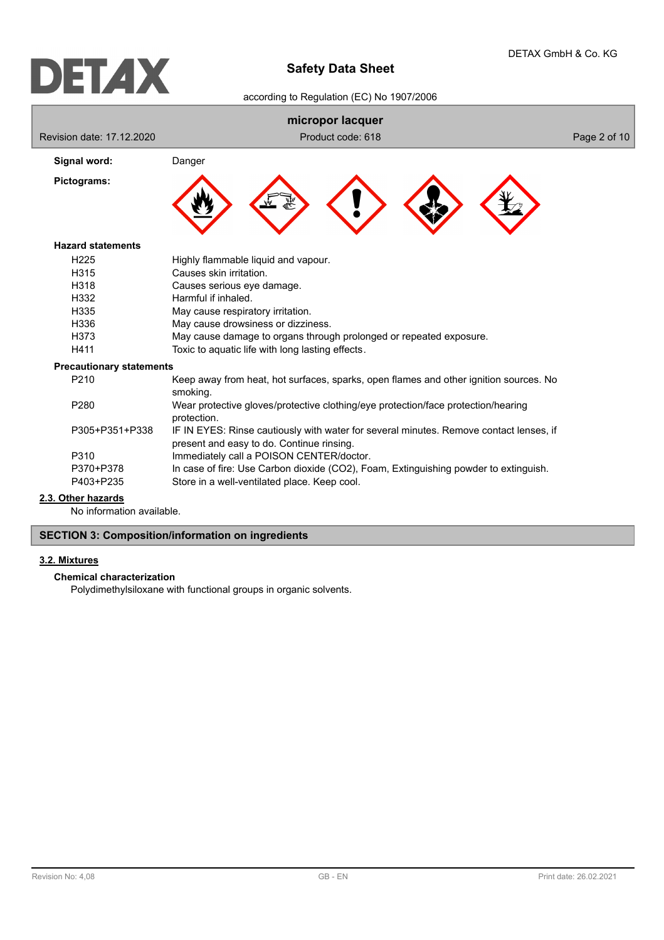according to Regulation (EC) No 1907/2006

|                                 | micropor lacquer                                                                                                                    |              |  |  |
|---------------------------------|-------------------------------------------------------------------------------------------------------------------------------------|--------------|--|--|
| Revision date: 17,12,2020       | Product code: 618                                                                                                                   | Page 2 of 10 |  |  |
| Signal word:                    | Danger                                                                                                                              |              |  |  |
| Pictograms:                     |                                                                                                                                     |              |  |  |
| <b>Hazard statements</b>        |                                                                                                                                     |              |  |  |
| H <sub>225</sub>                | Highly flammable liquid and vapour.                                                                                                 |              |  |  |
| H <sub>315</sub>                | Causes skin irritation.                                                                                                             |              |  |  |
| H318                            | Causes serious eye damage.                                                                                                          |              |  |  |
| H332                            | Harmful if inhaled.                                                                                                                 |              |  |  |
| H335                            | May cause respiratory irritation.                                                                                                   |              |  |  |
| H336                            | May cause drowsiness or dizziness.                                                                                                  |              |  |  |
| H373                            | May cause damage to organs through prolonged or repeated exposure.                                                                  |              |  |  |
| H411                            | Toxic to aquatic life with long lasting effects.                                                                                    |              |  |  |
| <b>Precautionary statements</b> |                                                                                                                                     |              |  |  |
| P210                            | Keep away from heat, hot surfaces, sparks, open flames and other ignition sources. No<br>smoking.                                   |              |  |  |
| P280                            | Wear protective gloves/protective clothing/eye protection/face protection/hearing<br>protection.                                    |              |  |  |
| P305+P351+P338                  | IF IN EYES: Rinse cautiously with water for several minutes. Remove contact lenses, if<br>present and easy to do. Continue rinsing. |              |  |  |
| P310                            | Immediately call a POISON CENTER/doctor.                                                                                            |              |  |  |
| P370+P378                       | In case of fire: Use Carbon dioxide (CO2), Foam, Extinguishing powder to extinguish.                                                |              |  |  |
| P403+P235                       | Store in a well-ventilated place. Keep cool.                                                                                        |              |  |  |
| 2.3. Other hazards              |                                                                                                                                     |              |  |  |

No information available.

# **SECTION 3: Composition/information on ingredients**

# **3.2. Mixtures**

## **Chemical characterization**

Polydimethylsiloxane with functional groups in organic solvents.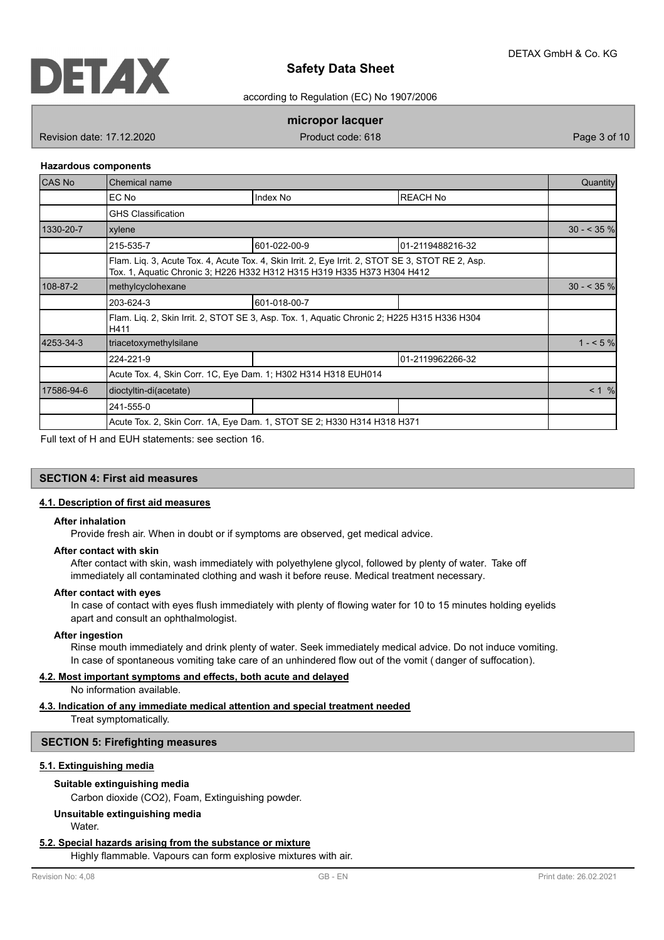

according to Regulation (EC) No 1907/2006

## **micropor lacquer**

Revision date: 17.12.2020 **Product code: 618** Page 3 of 10

#### **Hazardous components**

| <b>CAS No</b> | Chemical name                                                  |                                                                                                                                                                              |                  | Quantity     |  |
|---------------|----------------------------------------------------------------|------------------------------------------------------------------------------------------------------------------------------------------------------------------------------|------------------|--------------|--|
|               | EC No                                                          | Index No                                                                                                                                                                     | <b>REACH No</b>  |              |  |
|               | <b>GHS Classification</b>                                      |                                                                                                                                                                              |                  |              |  |
| 1330-20-7     | xylene                                                         |                                                                                                                                                                              |                  | $30 - 535$ % |  |
|               | 215-535-7                                                      | 601-022-00-9                                                                                                                                                                 | 01-2119488216-32 |              |  |
|               |                                                                | Flam. Lig. 3, Acute Tox. 4, Acute Tox. 4, Skin Irrit. 2, Eye Irrit. 2, STOT SE 3, STOT RE 2, Asp.<br>Tox. 1, Aquatic Chronic 3; H226 H332 H312 H315 H319 H335 H373 H304 H412 |                  |              |  |
| 108-87-2      | methylcyclohexane                                              |                                                                                                                                                                              | $30 - 35\%$      |              |  |
|               | 203-624-3                                                      | 601-018-00-7                                                                                                                                                                 |                  |              |  |
|               | H411                                                           | Flam. Liq. 2, Skin Irrit. 2, STOT SE 3, Asp. Tox. 1, Aquatic Chronic 2; H225 H315 H336 H304                                                                                  |                  |              |  |
| 4253-34-3     | triacetoxymethylsilane                                         |                                                                                                                                                                              |                  | $1 - 5%$     |  |
|               | 224-221-9                                                      |                                                                                                                                                                              | 01-2119962266-32 |              |  |
|               | Acute Tox. 4, Skin Corr. 1C, Eye Dam. 1; H302 H314 H318 EUH014 |                                                                                                                                                                              |                  |              |  |
| 17586-94-6    | dioctyltin-di(acetate)                                         |                                                                                                                                                                              |                  | < 1 %        |  |
|               | 241-555-0                                                      |                                                                                                                                                                              |                  |              |  |
|               |                                                                | Acute Tox. 2, Skin Corr. 1A, Eye Dam. 1, STOT SE 2; H330 H314 H318 H371                                                                                                      |                  |              |  |

Full text of H and EUH statements: see section 16.

## **SECTION 4: First aid measures**

## **4.1. Description of first aid measures**

#### **After inhalation**

Provide fresh air. When in doubt or if symptoms are observed, get medical advice.

#### **After contact with skin**

After contact with skin, wash immediately with polyethylene glycol, followed by plenty of water. Take off immediately all contaminated clothing and wash it before reuse. Medical treatment necessary.

#### **After contact with eyes**

In case of contact with eyes flush immediately with plenty of flowing water for 10 to 15 minutes holding eyelids apart and consult an ophthalmologist.

#### **After ingestion**

Rinse mouth immediately and drink plenty of water. Seek immediately medical advice. Do not induce vomiting. In case of spontaneous vomiting take care of an unhindered flow out of the vomit ( danger of suffocation).

#### **4.2. Most important symptoms and effects, both acute and delayed**

No information available.

## **4.3. Indication of any immediate medical attention and special treatment needed**

Treat symptomatically.

## **SECTION 5: Firefighting measures**

## **5.1. Extinguishing media**

#### **Suitable extinguishing media**

Carbon dioxide (CO2), Foam, Extinguishing powder.

## **Unsuitable extinguishing media**

Water.

#### **5.2. Special hazards arising from the substance or mixture**

Highly flammable. Vapours can form explosive mixtures with air.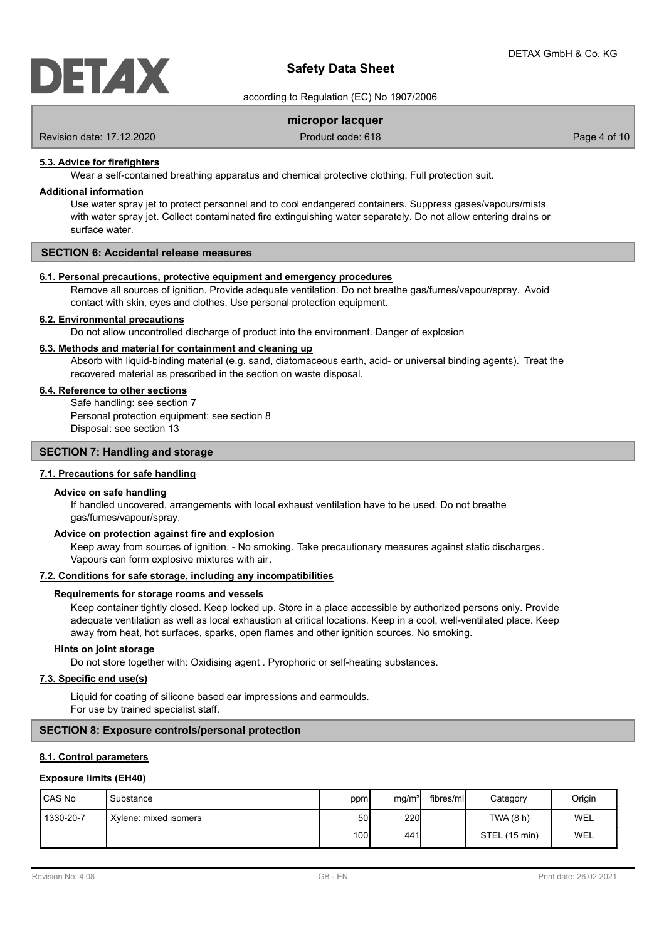

according to Regulation (EC) No 1907/2006

## **micropor lacquer**

Revision date: 17.12.2020 **Product code: 618** Page 4 of 10

### **5.3. Advice for firefighters**

Wear a self-contained breathing apparatus and chemical protective clothing. Full protection suit.

#### **Additional information**

Use water spray jet to protect personnel and to cool endangered containers. Suppress gases/vapours/mists with water spray jet. Collect contaminated fire extinguishing water separately. Do not allow entering drains or surface water.

## **SECTION 6: Accidental release measures**

#### **6.1. Personal precautions, protective equipment and emergency procedures**

Remove all sources of ignition. Provide adequate ventilation. Do not breathe gas/fumes/vapour/spray. Avoid contact with skin, eyes and clothes. Use personal protection equipment.

#### **6.2. Environmental precautions**

Do not allow uncontrolled discharge of product into the environment. Danger of explosion

### **6.3. Methods and material for containment and cleaning up**

Absorb with liquid-binding material (e.g. sand, diatomaceous earth, acid- or universal binding agents). Treat the recovered material as prescribed in the section on waste disposal.

#### **6.4. Reference to other sections**

Safe handling: see section 7 Personal protection equipment: see section 8 Disposal: see section 13

## **SECTION 7: Handling and storage**

## **7.1. Precautions for safe handling**

#### **Advice on safe handling**

If handled uncovered, arrangements with local exhaust ventilation have to be used. Do not breathe gas/fumes/vapour/spray.

#### **Advice on protection against fire and explosion**

Keep away from sources of ignition. - No smoking. Take precautionary measures against static discharges. Vapours can form explosive mixtures with air.

## **7.2. Conditions for safe storage, including any incompatibilities**

#### **Requirements for storage rooms and vessels**

Keep container tightly closed. Keep locked up. Store in a place accessible by authorized persons only. Provide adequate ventilation as well as local exhaustion at critical locations. Keep in a cool, well-ventilated place. Keep away from heat, hot surfaces, sparks, open flames and other ignition sources. No smoking.

#### **Hints on joint storage**

Do not store together with: Oxidising agent . Pyrophoric or self-heating substances.

### **7.3. Specific end use(s)**

Liquid for coating of silicone based ear impressions and earmoulds. For use by trained specialist staff.

## **SECTION 8: Exposure controls/personal protection**

## **8.1. Control parameters**

### **Exposure limits (EH40)**

| <b>CAS No</b> | Substance             | ppm          | mg/m <sup>31</sup> | fibres/mll | Category      | Origin |
|---------------|-----------------------|--------------|--------------------|------------|---------------|--------|
| 1330-20-7     | Xylene: mixed isomers | 50           | <b>220</b>         |            | TWA(8 h)      | WEL    |
|               |                       | 100 <b>l</b> | 441I               |            | STEL (15 min) | WEL    |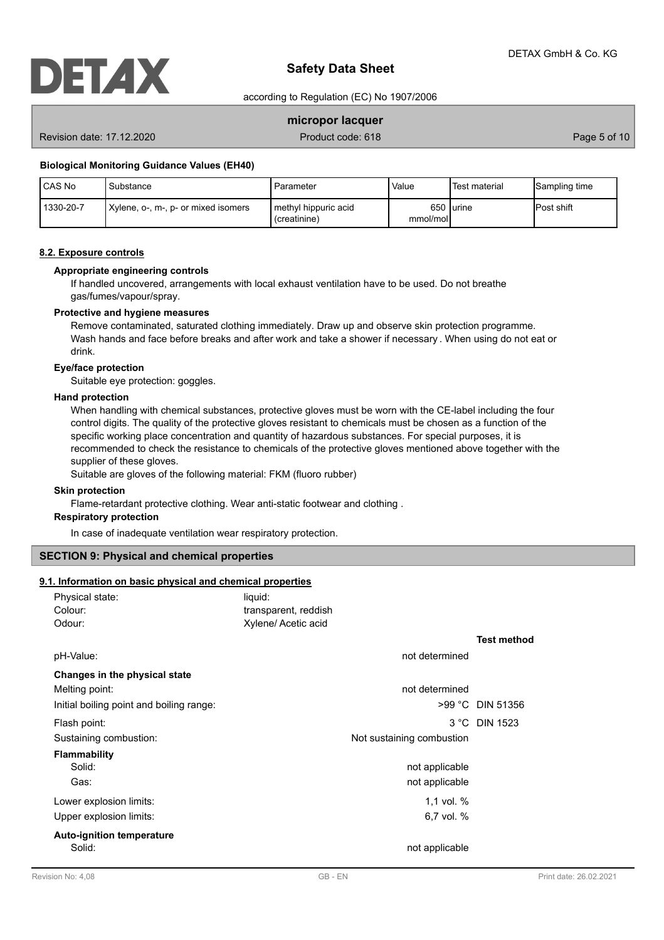

according to Regulation (EC) No 1907/2006

## **micropor lacquer**

Revision date: 17.12.2020 **Product code: 618** Page 5 of 10

#### **Biological Monitoring Guidance Values (EH40)**

| <b>CAS No</b> | Substance                           | Parameter                              | Value    | Test material | Sampling time      |
|---------------|-------------------------------------|----------------------------------------|----------|---------------|--------------------|
| 1330-20-7     | Xylene, o-, m-, p- or mixed isomers | I methyl hippuric acid<br>(creatinine) | mmol/mol | 650 lurine    | <b>IPost shift</b> |

## **8.2. Exposure controls**

## **Appropriate engineering controls**

If handled uncovered, arrangements with local exhaust ventilation have to be used. Do not breathe gas/fumes/vapour/spray.

#### **Protective and hygiene measures**

Remove contaminated, saturated clothing immediately. Draw up and observe skin protection programme. Wash hands and face before breaks and after work and take a shower if necessary . When using do not eat or drink.

## **Eye/face protection**

Suitable eye protection: goggles.

#### **Hand protection**

When handling with chemical substances, protective gloves must be worn with the CE-label including the four control digits. The quality of the protective gloves resistant to chemicals must be chosen as a function of the specific working place concentration and quantity of hazardous substances. For special purposes, it is recommended to check the resistance to chemicals of the protective gloves mentioned above together with the supplier of these gloves.

Suitable are gloves of the following material: FKM (fluoro rubber)

#### **Skin protection**

Flame-retardant protective clothing. Wear anti-static footwear and clothing .

## **Respiratory protection**

In case of inadequate ventilation wear respiratory protection.

## **SECTION 9: Physical and chemical properties**

## **9.1. Information on basic physical and chemical properties**

| Physical state:                          | liquid:              |                           |                    |
|------------------------------------------|----------------------|---------------------------|--------------------|
| Colour:                                  | transparent, reddish |                           |                    |
| Odour:                                   | Xylene/ Acetic acid  |                           |                    |
|                                          |                      |                           | <b>Test method</b> |
| pH-Value:                                |                      | not determined            |                    |
| Changes in the physical state            |                      |                           |                    |
| Melting point:                           |                      | not determined            |                    |
| Initial boiling point and boiling range: |                      |                           | >99 °C DIN 51356   |
| Flash point:                             |                      |                           | 3 °C DIN 1523      |
| Sustaining combustion:                   |                      | Not sustaining combustion |                    |
| <b>Flammability</b>                      |                      |                           |                    |
| Solid:                                   |                      | not applicable            |                    |
| Gas:                                     |                      | not applicable            |                    |
| Lower explosion limits:                  |                      | 1,1 vol. $%$              |                    |
| Upper explosion limits:                  |                      | 6,7 vol. %                |                    |
| <b>Auto-ignition temperature</b>         |                      |                           |                    |
| Solid:                                   |                      | not applicable            |                    |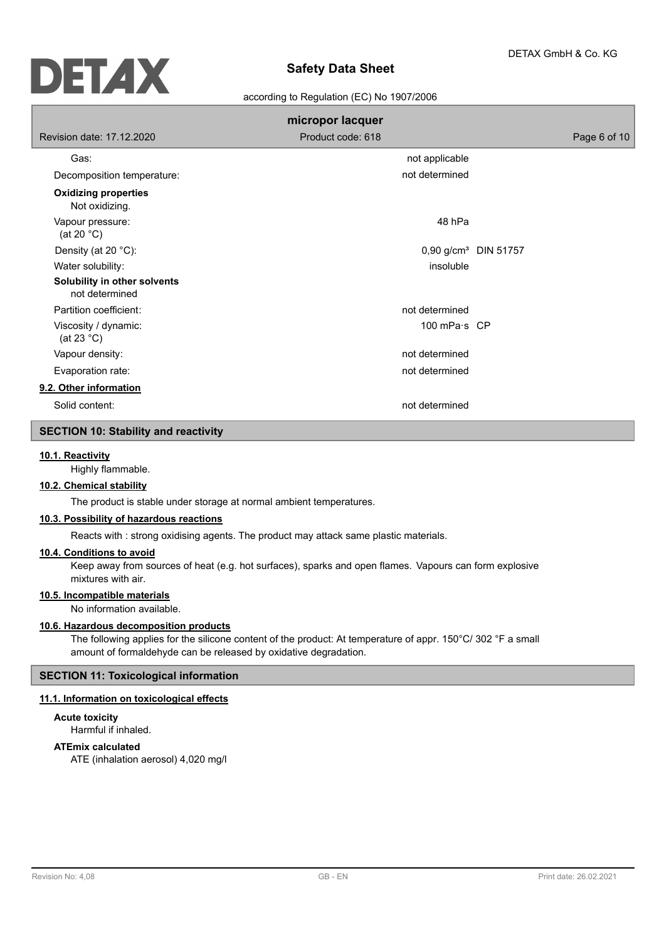

#### according to Regulation (EC) No 1907/2006

|                                                | micropor lacquer     |                                  |
|------------------------------------------------|----------------------|----------------------------------|
| Revision date: 17,12,2020                      | Product code: 618    | Page 6 of 10                     |
| Gas:                                           | not applicable       |                                  |
| Decomposition temperature:                     | not determined       |                                  |
| <b>Oxidizing properties</b><br>Not oxidizing.  |                      |                                  |
| Vapour pressure:<br>(at 20 $^{\circ}$ C)       | 48 hPa               |                                  |
| Density (at 20 °C):                            |                      | 0,90 g/cm <sup>3</sup> DIN 51757 |
| Water solubility:                              | insoluble            |                                  |
| Solubility in other solvents<br>not determined |                      |                                  |
| Partition coefficient:                         | not determined       |                                  |
| Viscosity / dynamic:<br>(at 23 $^{\circ}$ C)   | 100 mPa $\cdot$ s CP |                                  |
| Vapour density:                                | not determined       |                                  |
| Evaporation rate:                              | not determined       |                                  |
| 9.2. Other information                         |                      |                                  |
| Solid content:                                 | not determined       |                                  |

## **SECTION 10: Stability and reactivity**

#### **10.1. Reactivity**

Highly flammable.

# **10.2. Chemical stability**

The product is stable under storage at normal ambient temperatures.

## **10.3. Possibility of hazardous reactions**

Reacts with : strong oxidising agents. The product may attack same plastic materials.

## **10.4. Conditions to avoid**

Keep away from sources of heat (e.g. hot surfaces), sparks and open flames. Vapours can form explosive mixtures with air.

# **10.5. Incompatible materials**

No information available.

#### **10.6. Hazardous decomposition products**

The following applies for the silicone content of the product: At temperature of appr. 150°C/ 302 °F a small amount of formaldehyde can be released by oxidative degradation.

## **SECTION 11: Toxicological information**

## **11.1. Information on toxicological effects**

# **Acute toxicity**

Harmful if inhaled.

# **ATEmix calculated**

ATE (inhalation aerosol) 4,020 mg/l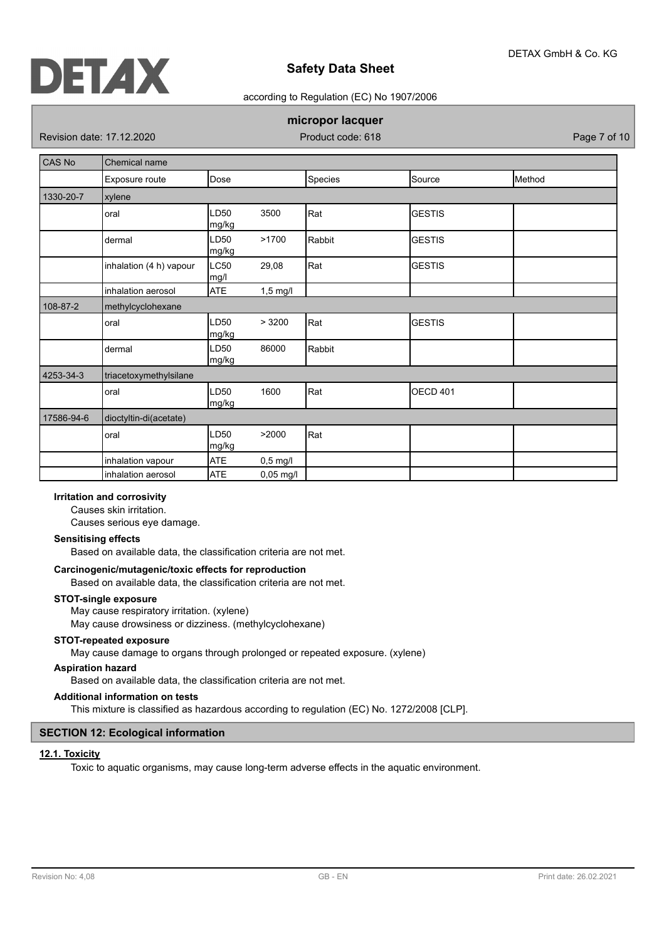

## according to Regulation (EC) No 1907/2006

# **micropor lacquer**

Revision date: 17.12.2020 **Product code: 618** Page 7 of 10

| CAS No     | Chemical name           |                     |            |         |                 |        |
|------------|-------------------------|---------------------|------------|---------|-----------------|--------|
|            | Exposure route          | Dose                |            | Species | Source          | Method |
| 1330-20-7  | xylene                  |                     |            |         |                 |        |
|            | oral                    | LD50<br>mg/kg       | 3500       | Rat     | <b>GESTIS</b>   |        |
|            | dermal                  | LD50<br>mg/kg       | >1700      | Rabbit  | <b>GESTIS</b>   |        |
|            | inhalation (4 h) vapour | <b>LC50</b><br>mg/l | 29,08      | Rat     | <b>GESTIS</b>   |        |
|            | inhalation aerosol      | <b>ATE</b>          | $1,5$ mg/l |         |                 |        |
| 108-87-2   | methylcyclohexane       |                     |            |         |                 |        |
|            | oral                    | LD50<br>mg/kg       | > 3200     | Rat     | <b>GESTIS</b>   |        |
|            | dermal                  | LD50<br>mg/kg       | 86000      | Rabbit  |                 |        |
| 4253-34-3  | triacetoxymethylsilane  |                     |            |         |                 |        |
|            | oral                    | LD50<br>mg/kg       | 1600       | Rat     | <b>OECD 401</b> |        |
| 17586-94-6 | dioctyltin-di(acetate)  |                     |            |         |                 |        |
|            | oral                    | LD50<br>mg/kg       | >2000      | Rat     |                 |        |
|            | inhalation vapour       | ATE                 | $0,5$ mg/l |         |                 |        |
|            | inhalation aerosol      | <b>ATE</b>          | 0,05 mg/l  |         |                 |        |

## **Irritation and corrosivity**

Causes skin irritation.

Causes serious eye damage.

#### **Sensitising effects**

Based on available data, the classification criteria are not met.

### **Carcinogenic/mutagenic/toxic effects for reproduction**

Based on available data, the classification criteria are not met.

#### **STOT-single exposure**

May cause respiratory irritation. (xylene)

May cause drowsiness or dizziness. (methylcyclohexane)

## **STOT-repeated exposure**

May cause damage to organs through prolonged or repeated exposure. (xylene)

## **Aspiration hazard**

Based on available data, the classification criteria are not met.

# **Additional information on tests**

This mixture is classified as hazardous according to regulation (EC) No. 1272/2008 [CLP].

# **SECTION 12: Ecological information**

#### **12.1. Toxicity**

Toxic to aquatic organisms, may cause long-term adverse effects in the aquatic environment.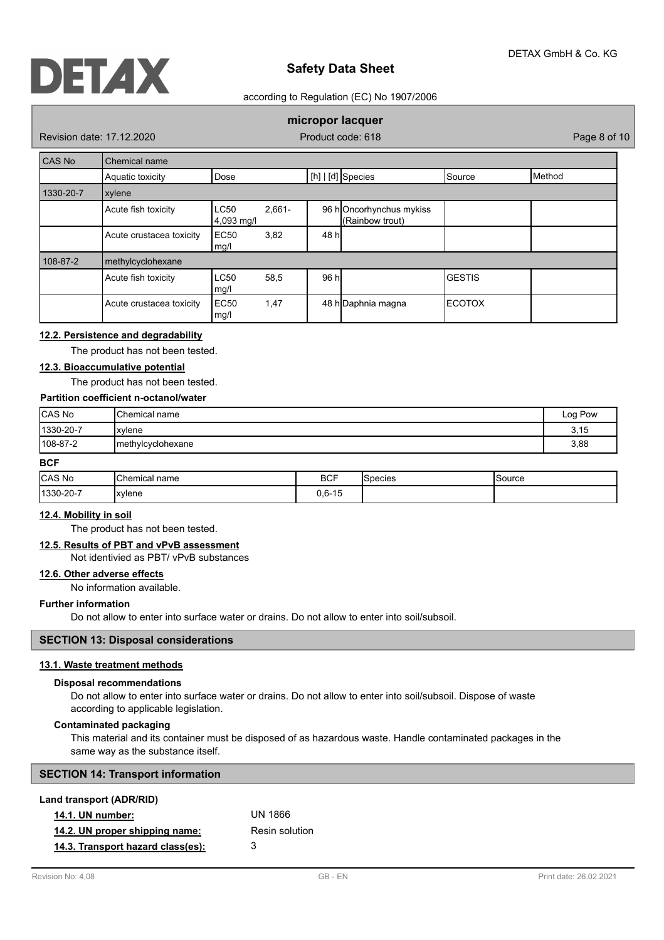

### according to Regulation (EC) No 1907/2006

# **micropor lacquer**

Revision date: 17.12.2020 **Product code: 618** Page 8 of 10

| CAS No    | Chemical name            |                                        |       |                                            |                |                 |
|-----------|--------------------------|----------------------------------------|-------|--------------------------------------------|----------------|-----------------|
|           | Aquatic toxicity         | Dose                                   |       | $[h]   [d]$ Species                        | <b>S</b> ource | <b>I</b> Method |
| 1330-20-7 | xylene                   |                                        |       |                                            |                |                 |
|           | Acute fish toxicity      | <b>LC50</b><br>$2.661 -$<br>4,093 mg/l |       | 96 hOncorhynchus mykiss<br>(Rainbow trout) |                |                 |
|           | Acute crustacea toxicity | EC <sub>50</sub><br>3,82<br>mg/l       | 48 hl |                                            |                |                 |
| 108-87-2  | methylcyclohexane        |                                        |       |                                            |                |                 |
|           | Acute fish toxicity      | <b>LC50</b><br>58,5<br>mg/l            | 96 h  |                                            | <b>GESTIS</b>  |                 |
|           | Acute crustacea toxicity | EC <sub>50</sub><br>1,47<br>mg/l       |       | 48 h Daphnia magna                         | <b>ECOTOX</b>  |                 |

## **12.2. Persistence and degradability**

The product has not been tested.

# **12.3. Bioaccumulative potential**

The product has not been tested.

# **Partition coefficient n-octanol/water**

| CAS No            | <b>I</b> Chemical name | Log Pow |
|-------------------|------------------------|---------|
| $ 1330 - 20 - 7 $ | <i>Ixviene</i>         | 3,15    |
| $108 - 87 - 2$    | Imethylcyclohexane     | 3,88    |

## **BCF**

| CAS No   | Chemical.<br>name | <b>BCF</b>                          | <b>I</b> Species | Source |
|----------|-------------------|-------------------------------------|------------------|--------|
| 1330-20- | 'xylene           | $\overline{a}$<br>በ ഒ<br>-15<br>∪.∪ |                  |        |

## **12.4. Mobility in soil**

The product has not been tested.

# **12.5. Results of PBT and vPvB assessment**

Not identivied as PBT/ vPvB substances

# **12.6. Other adverse effects**

No information available.

### **Further information**

Do not allow to enter into surface water or drains. Do not allow to enter into soil/subsoil.

#### **SECTION 13: Disposal considerations**

# **13.1. Waste treatment methods**

### **Disposal recommendations**

Do not allow to enter into surface water or drains. Do not allow to enter into soil/subsoil. Dispose of waste according to applicable legislation.

#### **Contaminated packaging**

This material and its container must be disposed of as hazardous waste. Handle contaminated packages in the same way as the substance itself.

| <b>SECTION 14: Transport information</b> |  |
|------------------------------------------|--|
| <b>Land transport (ADR/RID)</b>          |  |

| ana aanoport (Abitrib)            |                |
|-----------------------------------|----------------|
| <b>14.1. UN number:</b>           | UN 1866        |
| 14.2. UN proper shipping name:    | Resin solution |
| 14.3. Transport hazard class(es): | 3              |
|                                   |                |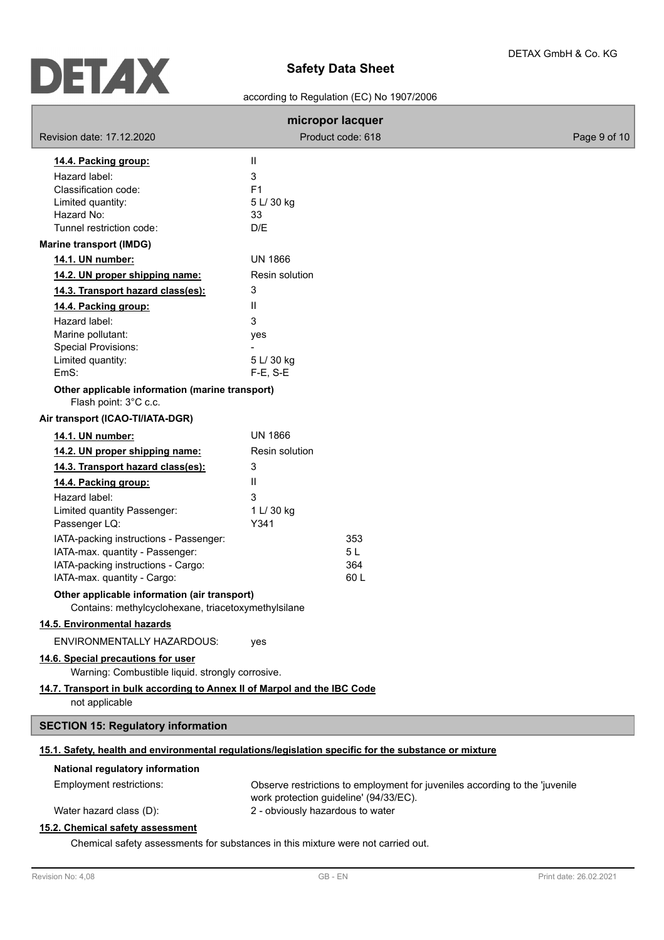۰

# according to Regulation (EC) No 1907/2006

| Product code: 618<br>Revision date: 17.12.2020<br>Page 9 of 10<br>Ш<br>14.4. Packing group:<br>Hazard label:<br>3<br>Classification code:<br>F1<br>Limited quantity:<br>5 L/ 30 kg<br>Hazard No:<br>33<br>Tunnel restriction code:<br>D/E<br><b>Marine transport (IMDG)</b><br><b>UN 1866</b><br>14.1. UN number:<br>Resin solution<br>14.2. UN proper shipping name:<br>3<br>14.3. Transport hazard class(es):<br>Ш<br>14.4. Packing group:<br>Hazard label:<br>3<br>Marine pollutant:<br>yes<br>Special Provisions:<br>Limited quantity:<br>5 L/ 30 kg<br>EmS:<br>$F-E$ , S-E<br>Other applicable information (marine transport)<br>Flash point: 3°C c.c.<br>Air transport (ICAO-TI/IATA-DGR)<br><b>UN 1866</b><br>14.1. UN number:<br>14.2. UN proper shipping name:<br>Resin solution<br>14.3. Transport hazard class(es):<br>3<br>Ш<br>14.4. Packing group:<br>Hazard label:<br>3<br>1 L/ 30 kg<br>Limited quantity Passenger:<br>Passenger LQ:<br>Y341<br>IATA-packing instructions - Passenger:<br>353<br>IATA-max. quantity - Passenger:<br>5 L<br>IATA-packing instructions - Cargo:<br>364<br>IATA-max. quantity - Cargo:<br>60 L<br>Other applicable information (air transport)<br>Contains: methylcyclohexane, triacetoxymethylsilane<br>14.5. Environmental hazards<br>ENVIRONMENTALLY HAZARDOUS:<br>yes<br>14.6. Special precautions for user<br>Warning: Combustible liquid. strongly corrosive.<br>14.7. Transport in bulk according to Annex II of Marpol and the IBC Code<br>not applicable<br><b>SECTION 15: Regulatory information</b><br>15.1. Safety, health and environmental regulations/legislation specific for the substance or mixture<br>National regulatory information<br>Employment restrictions:<br>Observe restrictions to employment for juveniles according to the 'juvenile<br>work protection guideline' (94/33/EC).<br>2 - obviously hazardous to water<br>Water hazard class (D): | micropor lacquer                 |  |  |
|----------------------------------------------------------------------------------------------------------------------------------------------------------------------------------------------------------------------------------------------------------------------------------------------------------------------------------------------------------------------------------------------------------------------------------------------------------------------------------------------------------------------------------------------------------------------------------------------------------------------------------------------------------------------------------------------------------------------------------------------------------------------------------------------------------------------------------------------------------------------------------------------------------------------------------------------------------------------------------------------------------------------------------------------------------------------------------------------------------------------------------------------------------------------------------------------------------------------------------------------------------------------------------------------------------------------------------------------------------------------------------------------------------------------------------------------------------------------------------------------------------------------------------------------------------------------------------------------------------------------------------------------------------------------------------------------------------------------------------------------------------------------------------------------------------------------------------------------------------------------------------------------------------------------------|----------------------------------|--|--|
|                                                                                                                                                                                                                                                                                                                                                                                                                                                                                                                                                                                                                                                                                                                                                                                                                                                                                                                                                                                                                                                                                                                                                                                                                                                                                                                                                                                                                                                                                                                                                                                                                                                                                                                                                                                                                                                                                                                            |                                  |  |  |
|                                                                                                                                                                                                                                                                                                                                                                                                                                                                                                                                                                                                                                                                                                                                                                                                                                                                                                                                                                                                                                                                                                                                                                                                                                                                                                                                                                                                                                                                                                                                                                                                                                                                                                                                                                                                                                                                                                                            |                                  |  |  |
|                                                                                                                                                                                                                                                                                                                                                                                                                                                                                                                                                                                                                                                                                                                                                                                                                                                                                                                                                                                                                                                                                                                                                                                                                                                                                                                                                                                                                                                                                                                                                                                                                                                                                                                                                                                                                                                                                                                            |                                  |  |  |
|                                                                                                                                                                                                                                                                                                                                                                                                                                                                                                                                                                                                                                                                                                                                                                                                                                                                                                                                                                                                                                                                                                                                                                                                                                                                                                                                                                                                                                                                                                                                                                                                                                                                                                                                                                                                                                                                                                                            |                                  |  |  |
|                                                                                                                                                                                                                                                                                                                                                                                                                                                                                                                                                                                                                                                                                                                                                                                                                                                                                                                                                                                                                                                                                                                                                                                                                                                                                                                                                                                                                                                                                                                                                                                                                                                                                                                                                                                                                                                                                                                            |                                  |  |  |
|                                                                                                                                                                                                                                                                                                                                                                                                                                                                                                                                                                                                                                                                                                                                                                                                                                                                                                                                                                                                                                                                                                                                                                                                                                                                                                                                                                                                                                                                                                                                                                                                                                                                                                                                                                                                                                                                                                                            |                                  |  |  |
|                                                                                                                                                                                                                                                                                                                                                                                                                                                                                                                                                                                                                                                                                                                                                                                                                                                                                                                                                                                                                                                                                                                                                                                                                                                                                                                                                                                                                                                                                                                                                                                                                                                                                                                                                                                                                                                                                                                            |                                  |  |  |
|                                                                                                                                                                                                                                                                                                                                                                                                                                                                                                                                                                                                                                                                                                                                                                                                                                                                                                                                                                                                                                                                                                                                                                                                                                                                                                                                                                                                                                                                                                                                                                                                                                                                                                                                                                                                                                                                                                                            |                                  |  |  |
|                                                                                                                                                                                                                                                                                                                                                                                                                                                                                                                                                                                                                                                                                                                                                                                                                                                                                                                                                                                                                                                                                                                                                                                                                                                                                                                                                                                                                                                                                                                                                                                                                                                                                                                                                                                                                                                                                                                            |                                  |  |  |
|                                                                                                                                                                                                                                                                                                                                                                                                                                                                                                                                                                                                                                                                                                                                                                                                                                                                                                                                                                                                                                                                                                                                                                                                                                                                                                                                                                                                                                                                                                                                                                                                                                                                                                                                                                                                                                                                                                                            |                                  |  |  |
|                                                                                                                                                                                                                                                                                                                                                                                                                                                                                                                                                                                                                                                                                                                                                                                                                                                                                                                                                                                                                                                                                                                                                                                                                                                                                                                                                                                                                                                                                                                                                                                                                                                                                                                                                                                                                                                                                                                            |                                  |  |  |
|                                                                                                                                                                                                                                                                                                                                                                                                                                                                                                                                                                                                                                                                                                                                                                                                                                                                                                                                                                                                                                                                                                                                                                                                                                                                                                                                                                                                                                                                                                                                                                                                                                                                                                                                                                                                                                                                                                                            |                                  |  |  |
|                                                                                                                                                                                                                                                                                                                                                                                                                                                                                                                                                                                                                                                                                                                                                                                                                                                                                                                                                                                                                                                                                                                                                                                                                                                                                                                                                                                                                                                                                                                                                                                                                                                                                                                                                                                                                                                                                                                            |                                  |  |  |
|                                                                                                                                                                                                                                                                                                                                                                                                                                                                                                                                                                                                                                                                                                                                                                                                                                                                                                                                                                                                                                                                                                                                                                                                                                                                                                                                                                                                                                                                                                                                                                                                                                                                                                                                                                                                                                                                                                                            |                                  |  |  |
|                                                                                                                                                                                                                                                                                                                                                                                                                                                                                                                                                                                                                                                                                                                                                                                                                                                                                                                                                                                                                                                                                                                                                                                                                                                                                                                                                                                                                                                                                                                                                                                                                                                                                                                                                                                                                                                                                                                            |                                  |  |  |
|                                                                                                                                                                                                                                                                                                                                                                                                                                                                                                                                                                                                                                                                                                                                                                                                                                                                                                                                                                                                                                                                                                                                                                                                                                                                                                                                                                                                                                                                                                                                                                                                                                                                                                                                                                                                                                                                                                                            |                                  |  |  |
|                                                                                                                                                                                                                                                                                                                                                                                                                                                                                                                                                                                                                                                                                                                                                                                                                                                                                                                                                                                                                                                                                                                                                                                                                                                                                                                                                                                                                                                                                                                                                                                                                                                                                                                                                                                                                                                                                                                            |                                  |  |  |
|                                                                                                                                                                                                                                                                                                                                                                                                                                                                                                                                                                                                                                                                                                                                                                                                                                                                                                                                                                                                                                                                                                                                                                                                                                                                                                                                                                                                                                                                                                                                                                                                                                                                                                                                                                                                                                                                                                                            |                                  |  |  |
|                                                                                                                                                                                                                                                                                                                                                                                                                                                                                                                                                                                                                                                                                                                                                                                                                                                                                                                                                                                                                                                                                                                                                                                                                                                                                                                                                                                                                                                                                                                                                                                                                                                                                                                                                                                                                                                                                                                            |                                  |  |  |
|                                                                                                                                                                                                                                                                                                                                                                                                                                                                                                                                                                                                                                                                                                                                                                                                                                                                                                                                                                                                                                                                                                                                                                                                                                                                                                                                                                                                                                                                                                                                                                                                                                                                                                                                                                                                                                                                                                                            |                                  |  |  |
|                                                                                                                                                                                                                                                                                                                                                                                                                                                                                                                                                                                                                                                                                                                                                                                                                                                                                                                                                                                                                                                                                                                                                                                                                                                                                                                                                                                                                                                                                                                                                                                                                                                                                                                                                                                                                                                                                                                            |                                  |  |  |
|                                                                                                                                                                                                                                                                                                                                                                                                                                                                                                                                                                                                                                                                                                                                                                                                                                                                                                                                                                                                                                                                                                                                                                                                                                                                                                                                                                                                                                                                                                                                                                                                                                                                                                                                                                                                                                                                                                                            |                                  |  |  |
|                                                                                                                                                                                                                                                                                                                                                                                                                                                                                                                                                                                                                                                                                                                                                                                                                                                                                                                                                                                                                                                                                                                                                                                                                                                                                                                                                                                                                                                                                                                                                                                                                                                                                                                                                                                                                                                                                                                            |                                  |  |  |
|                                                                                                                                                                                                                                                                                                                                                                                                                                                                                                                                                                                                                                                                                                                                                                                                                                                                                                                                                                                                                                                                                                                                                                                                                                                                                                                                                                                                                                                                                                                                                                                                                                                                                                                                                                                                                                                                                                                            |                                  |  |  |
|                                                                                                                                                                                                                                                                                                                                                                                                                                                                                                                                                                                                                                                                                                                                                                                                                                                                                                                                                                                                                                                                                                                                                                                                                                                                                                                                                                                                                                                                                                                                                                                                                                                                                                                                                                                                                                                                                                                            |                                  |  |  |
|                                                                                                                                                                                                                                                                                                                                                                                                                                                                                                                                                                                                                                                                                                                                                                                                                                                                                                                                                                                                                                                                                                                                                                                                                                                                                                                                                                                                                                                                                                                                                                                                                                                                                                                                                                                                                                                                                                                            |                                  |  |  |
|                                                                                                                                                                                                                                                                                                                                                                                                                                                                                                                                                                                                                                                                                                                                                                                                                                                                                                                                                                                                                                                                                                                                                                                                                                                                                                                                                                                                                                                                                                                                                                                                                                                                                                                                                                                                                                                                                                                            |                                  |  |  |
|                                                                                                                                                                                                                                                                                                                                                                                                                                                                                                                                                                                                                                                                                                                                                                                                                                                                                                                                                                                                                                                                                                                                                                                                                                                                                                                                                                                                                                                                                                                                                                                                                                                                                                                                                                                                                                                                                                                            |                                  |  |  |
|                                                                                                                                                                                                                                                                                                                                                                                                                                                                                                                                                                                                                                                                                                                                                                                                                                                                                                                                                                                                                                                                                                                                                                                                                                                                                                                                                                                                                                                                                                                                                                                                                                                                                                                                                                                                                                                                                                                            |                                  |  |  |
|                                                                                                                                                                                                                                                                                                                                                                                                                                                                                                                                                                                                                                                                                                                                                                                                                                                                                                                                                                                                                                                                                                                                                                                                                                                                                                                                                                                                                                                                                                                                                                                                                                                                                                                                                                                                                                                                                                                            |                                  |  |  |
|                                                                                                                                                                                                                                                                                                                                                                                                                                                                                                                                                                                                                                                                                                                                                                                                                                                                                                                                                                                                                                                                                                                                                                                                                                                                                                                                                                                                                                                                                                                                                                                                                                                                                                                                                                                                                                                                                                                            |                                  |  |  |
|                                                                                                                                                                                                                                                                                                                                                                                                                                                                                                                                                                                                                                                                                                                                                                                                                                                                                                                                                                                                                                                                                                                                                                                                                                                                                                                                                                                                                                                                                                                                                                                                                                                                                                                                                                                                                                                                                                                            |                                  |  |  |
|                                                                                                                                                                                                                                                                                                                                                                                                                                                                                                                                                                                                                                                                                                                                                                                                                                                                                                                                                                                                                                                                                                                                                                                                                                                                                                                                                                                                                                                                                                                                                                                                                                                                                                                                                                                                                                                                                                                            |                                  |  |  |
|                                                                                                                                                                                                                                                                                                                                                                                                                                                                                                                                                                                                                                                                                                                                                                                                                                                                                                                                                                                                                                                                                                                                                                                                                                                                                                                                                                                                                                                                                                                                                                                                                                                                                                                                                                                                                                                                                                                            |                                  |  |  |
|                                                                                                                                                                                                                                                                                                                                                                                                                                                                                                                                                                                                                                                                                                                                                                                                                                                                                                                                                                                                                                                                                                                                                                                                                                                                                                                                                                                                                                                                                                                                                                                                                                                                                                                                                                                                                                                                                                                            |                                  |  |  |
|                                                                                                                                                                                                                                                                                                                                                                                                                                                                                                                                                                                                                                                                                                                                                                                                                                                                                                                                                                                                                                                                                                                                                                                                                                                                                                                                                                                                                                                                                                                                                                                                                                                                                                                                                                                                                                                                                                                            |                                  |  |  |
|                                                                                                                                                                                                                                                                                                                                                                                                                                                                                                                                                                                                                                                                                                                                                                                                                                                                                                                                                                                                                                                                                                                                                                                                                                                                                                                                                                                                                                                                                                                                                                                                                                                                                                                                                                                                                                                                                                                            |                                  |  |  |
|                                                                                                                                                                                                                                                                                                                                                                                                                                                                                                                                                                                                                                                                                                                                                                                                                                                                                                                                                                                                                                                                                                                                                                                                                                                                                                                                                                                                                                                                                                                                                                                                                                                                                                                                                                                                                                                                                                                            |                                  |  |  |
|                                                                                                                                                                                                                                                                                                                                                                                                                                                                                                                                                                                                                                                                                                                                                                                                                                                                                                                                                                                                                                                                                                                                                                                                                                                                                                                                                                                                                                                                                                                                                                                                                                                                                                                                                                                                                                                                                                                            |                                  |  |  |
|                                                                                                                                                                                                                                                                                                                                                                                                                                                                                                                                                                                                                                                                                                                                                                                                                                                                                                                                                                                                                                                                                                                                                                                                                                                                                                                                                                                                                                                                                                                                                                                                                                                                                                                                                                                                                                                                                                                            | 15.2. Chemical safety assessment |  |  |

Chemical safety assessments for substances in this mixture were not carried out.

ľ